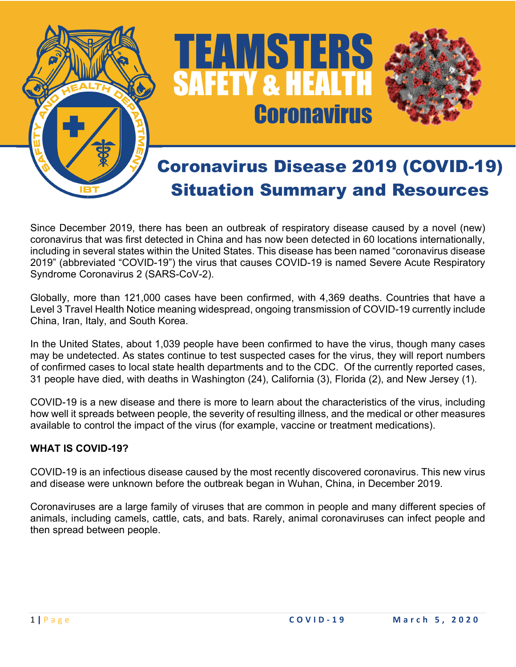

# TEAMSTERS<br>SAFETY & HEALTH **Coronavirus**



# Coronavirus Disease 2019 (COVID-19) Situation Summary and Resources

Since December 2019, there has been an outbreak of respiratory disease caused by a novel (new) coronavirus that was first detected in China and has now been detected in 60 locations internationally, including in several states within the United States. This disease has been named "coronavirus disease 2019" (abbreviated "COVID-19") the virus that causes COVID-19 is named Severe Acute Respiratory Syndrome Coronavirus 2 (SARS-CoV-2).

Globally, more than 121,000 cases have been confirmed, with 4,369 deaths. Countries that have a Level 3 Travel Health Notice meaning widespread, ongoing transmission of COVID-19 currently include China, Iran, Italy, and South Korea.

In the United States, about 1,039 people have been confirmed to have the virus, though many cases may be undetected. As states continue to test suspected cases for the virus, they will report numbers of confirmed cases to local state health departments and to the CDC. Of the currently reported cases, 31 people have died, with deaths in Washington (24), California (3), Florida (2), and New Jersey (1).

COVID-19 is a new disease and there is more to learn about the characteristics of the virus, including how well it spreads between people, the severity of resulting illness, and the medical or other measures available to control the impact of the virus (for example, vaccine or treatment medications).

# **WHAT IS COVID-19?**

COVID-19 is an infectious disease caused by the most recently discovered coronavirus. This new virus and disease were unknown before the outbreak began in Wuhan, China, in December 2019.

Coronaviruses are a large family of viruses that are common in people and many different species of animals, including camels, cattle, cats, and bats. Rarely, animal coronaviruses can infect people and then spread between people.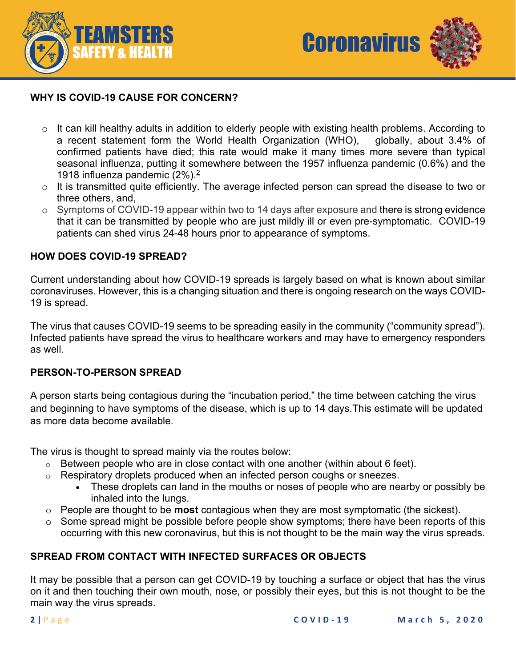



#### **WHY IS COVID-19 CAUSE FOR CONCERN?**

- o It can kill healthy adults in addition to elderly people with existing health problems. According to a recent statement form the World Health Organization (WHO), globally, about 3.4% of confirmed patients have died; this rate would make it many times more severe than typical seasonal influenza, putting it somewhere between the 1957 influenza pandemic (0.6%) and the 1918 influenza pandemic (2%).2
- o It is transmitted quite efficiently. The average infected person can spread the disease to two or three others, and,
- o Symptoms of COVID-19 appear within two to 14 days after exposure and there is strong evidence that it can be transmitted by people who are just mildly ill or even pre-symptomatic. COVID-19 patients can shed virus 24-48 hours prior to appearance of symptoms.

#### **HOW DOES COVID-19 SPREAD?**

Current understanding about how COVID-19 spreads is largely based on what is known about similar coronaviruses. However, this is a changing situation and there is ongoing research on the ways COVID-19 is spread.

The virus that causes COVID-19 seems to be spreading easily in the community ("community spread"). Infected patients have spread the virus to healthcare workers and may have to emergency responders as well.

#### **PERSON-TO-PERSON SPREAD**

A person starts being contagious during the "incubation period," the time between catching the virus and beginning to have symptoms of the disease, which is up to 14 days.This estimate will be updated as more data become available.

The virus is thought to spread mainly via the routes below:

- $\circ$  Between people who are in close contact with one another (within about 6 feet).
- o Respiratory droplets produced when an infected person coughs or sneezes.
	- These droplets can land in the mouths or noses of people who are nearby or possibly be inhaled into the lungs.
- o People are thought to be **most** contagious when they are most symptomatic (the sickest).
- $\circ$  Some spread might be possible before people show symptoms; there have been reports of this occurring with this new coronavirus, but this is not thought to be the main way the virus spreads.

#### **SPREAD FROM CONTACT WITH INFECTED SURFACES OR OBJECTS**

It may be possible that a person can get COVID-19 by touching a surface or object that has the virus on it and then touching their own mouth, nose, or possibly their eyes, but this is not thought to be the main way the virus spreads.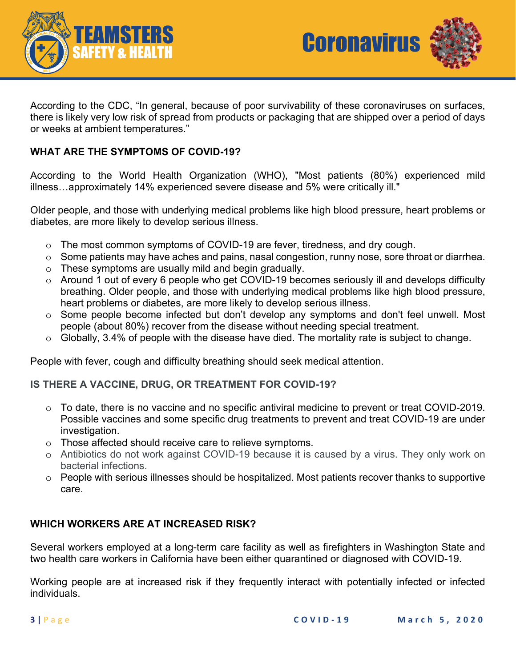



According to the CDC, "In general, because of poor survivability of these coronaviruses on surfaces, there is likely very low risk of spread from products or packaging that are shipped over a period of days or weeks at ambient temperatures."

#### **WHAT ARE THE SYMPTOMS OF COVID-19?**

According to the World Health Organization (WHO), "Most patients (80%) experienced mild illness…approximately 14% experienced severe disease and 5% were critically ill."

Older people, and those with underlying medical problems like high blood pressure, heart problems or diabetes, are more likely to develop serious illness.

- o The most common symptoms of COVID-19 are fever, tiredness, and dry cough.
- o Some patients may have aches and pains, nasal congestion, runny nose, sore throat or diarrhea.
- o These symptoms are usually mild and begin gradually.
- o Around 1 out of every 6 people who get COVID-19 becomes seriously ill and develops difficulty breathing. Older people, and those with underlying medical problems like high blood pressure, heart problems or diabetes, are more likely to develop serious illness.
- o Some people become infected but don't develop any symptoms and don't feel unwell. Most people (about 80%) recover from the disease without needing special treatment.
- $\circ$  Globally, 3.4% of people with the disease have died. The mortality rate is subject to change.

People with fever, cough and difficulty breathing should seek medical attention.

#### **IS THERE A VACCINE, DRUG, OR TREATMENT FOR COVID-19?**

- o To date, there is no vaccine and no specific antiviral medicine to prevent or treat COVID-2019. Possible vaccines and some specific drug treatments to prevent and treat COVID-19 are under investigation.
- o Those affected should receive care to relieve symptoms.
- o Antibiotics do not work against COVID-19 because it is caused by a virus. They only work on bacterial infections.
- o People with serious illnesses should be hospitalized. Most patients recover thanks to supportive care.

#### **WHICH WORKERS ARE AT INCREASED RISK?**

Several workers employed at a long-term care facility as well as firefighters in Washington State and two health care workers in California have been either quarantined or diagnosed with COVID-19.

Working people are at increased risk if they frequently interact with potentially infected or infected individuals.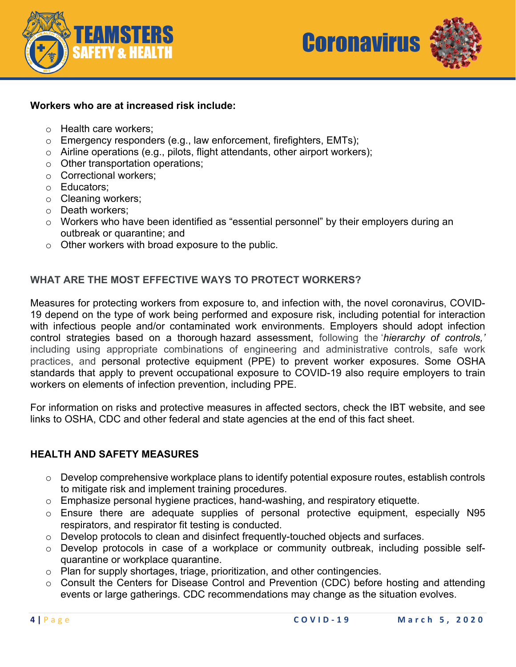



#### **Workers who are at increased risk include:**

- o Health care workers;
- o Emergency responders (e.g., law enforcement, firefighters, EMTs);
- o Airline operations (e.g., pilots, flight attendants, other airport workers);
- o Other transportation operations;
- o Correctional workers;
- o Educators;
- o Cleaning workers;
- o Death workers;
- o Workers who have been identified as "essential personnel" by their employers during an outbreak or quarantine; and
- o Other workers with broad exposure to the public.

#### **WHAT ARE THE MOST EFFECTIVE WAYS TO PROTECT WORKERS?**

Measures for protecting workers from exposure to, and infection with, the novel coronavirus, COVID-19 depend on the type of work being performed and exposure risk, including potential for interaction with infectious people and/or contaminated work environments. Employers should adopt infection control strategies based on a thorough hazard assessment, following the '*hierarchy of controls,'* including using appropriate combinations of engineering and administrative controls, safe work practices, and personal protective equipment (PPE) to prevent worker exposures. Some OSHA standards that apply to prevent occupational exposure to COVID-19 also require employers to train workers on elements of infection prevention, including PPE.

For information on risks and protective measures in affected sectors, check the IBT website, and see links to OSHA, CDC and other federal and state agencies at the end of this fact sheet.

#### **HEALTH AND SAFETY MEASURES**

- o Develop comprehensive workplace plans to identify potential exposure routes, establish controls to mitigate risk and implement training procedures.
- o Emphasize personal hygiene practices, hand-washing, and respiratory etiquette.
- o Ensure there are adequate supplies of personal protective equipment, especially N95 respirators, and respirator fit testing is conducted.
- o Develop protocols to clean and disinfect frequently-touched objects and surfaces.
- o Develop protocols in case of a workplace or community outbreak, including possible selfquarantine or workplace quarantine.
- o Plan for supply shortages, triage, prioritization, and other contingencies.
- o Consult the Centers for Disease Control and Prevention (CDC) before hosting and attending events or large gatherings. CDC recommendations may change as the situation evolves.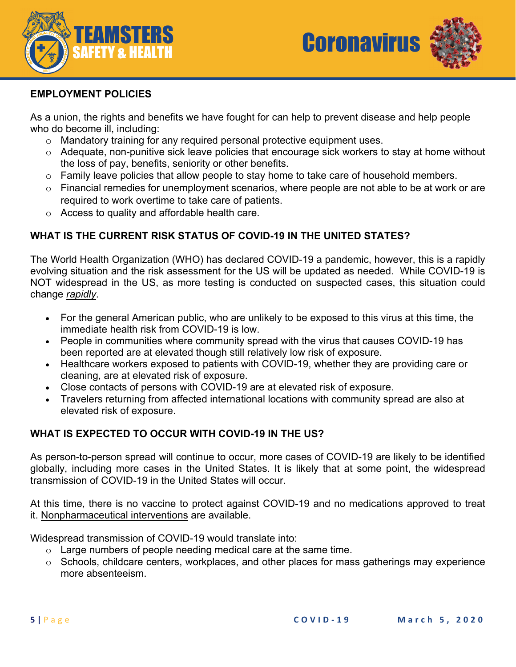



#### **EMPLOYMENT POLICIES**

As a union, the rights and benefits we have fought for can help to prevent disease and help people who do become ill, including:

- o Mandatory training for any required personal protective equipment uses.
- o Adequate, non-punitive sick leave policies that encourage sick workers to stay at home without the loss of pay, benefits, seniority or other benefits.
- o Family leave policies that allow people to stay home to take care of household members.
- $\circ$  Financial remedies for unemployment scenarios, where people are not able to be at work or are required to work overtime to take care of patients.
- o Access to quality and affordable health care.

### **WHAT IS THE CURRENT RISK STATUS OF COVID-19 IN THE UNITED STATES?**

The World Health Organization (WHO) has declared COVID-19 a pandemic, however, this is a rapidly evolving situation and the risk assessment for the US will be updated as needed. While COVID-19 is NOT widespread in the US, as more testing is conducted on suspected cases, this situation could change *rapidly*.

- For the general American public, who are unlikely to be exposed to this virus at this time, the immediate health risk from COVID-19 is low.
- People in communities where community spread with the virus that causes COVID-19 has been reported are at elevated though still relatively low risk of exposure.
- Healthcare workers exposed to patients with COVID-19, whether they are providing care or cleaning, are at elevated risk of exposure.
- Close contacts of persons with COVID-19 are at elevated risk of exposure.
- Travelers returning from affected international locations with community spread are also at elevated risk of exposure.

#### **WHAT IS EXPECTED TO OCCUR WITH COVID-19 IN THE US?**

As person-to-person spread will continue to occur, more cases of COVID-19 are likely to be identified globally, including more cases in the United States. It is likely that at some point, the widespread transmission of COVID-19 in the United States will occur.

At this time, there is no vaccine to protect against COVID-19 and no medications approved to treat it. Nonpharmaceutical interventions are available.

Widespread transmission of COVID-19 would translate into:

- $\circ$  Large numbers of people needing medical care at the same time.
- $\circ$  Schools, childcare centers, workplaces, and other places for mass gatherings may experience more absenteeism.